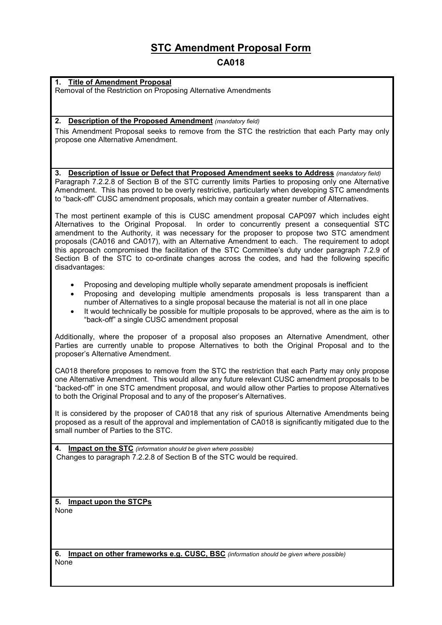# **STC Amendment Proposal Form**

# **CA018**

## **1. Title of Amendment Proposal**

Removal of the Restriction on Proposing Alternative Amendments

### **2. Description of the Proposed Amendment** *(mandatory field)*

This Amendment Proposal seeks to remove from the STC the restriction that each Party may only propose one Alternative Amendment.

#### **3. Description of Issue or Defect that Proposed Amendment seeks to Address** *(mandatory field)*

Paragraph 7.2.2.8 of Section B of the STC currently limits Parties to proposing only one Alternative Amendment. This has proved to be overly restrictive, particularly when developing STC amendments to "back-off" CUSC amendment proposals, which may contain a greater number of Alternatives.

The most pertinent example of this is CUSC amendment proposal CAP097 which includes eight Alternatives to the Original Proposal. In order to concurrently present a consequential STC amendment to the Authority, it was necessary for the proposer to propose two STC amendment proposals (CA016 and CA017), with an Alternative Amendment to each. The requirement to adopt this approach compromised the facilitation of the STC Committee's duty under paragraph 7.2.9 of Section B of the STC to co-ordinate changes across the codes, and had the following specific disadvantages:

- -Proposing and developing multiple wholly separate amendment proposals is inefficient
- $\bullet$  Proposing and developing multiple amendments proposals is less transparent than a number of Alternatives to a single proposal because the material is not all in one place
- $\bullet$  It would technically be possible for multiple proposals to be approved, where as the aim is to "back-off" a single CUSC amendment proposal

Additionally, where the proposer of a proposal also proposes an Alternative Amendment, other Parties are currently unable to propose Alternatives to both the Original Proposal and to the proposer's Alternative Amendment.

CA018 therefore proposes to remove from the STC the restriction that each Party may only propose one Alternative Amendment. This would allow any future relevant CUSC amendment proposals to be "backed-off" in one STC amendment proposal, and would allow other Parties to propose Alternatives to both the Original Proposal and to any of the proposer's Alternatives.

It is considered by the proposer of CA018 that any risk of spurious Alternative Amendments being proposed as a result of the approval and implementation of CA018 is significantly mitigated due to the small number of Parties to the STC.

**4. Impact on the STC** *(information should be given where possible)* Changes to paragraph 7.2.2.8 of Section B of the STC would be required.

**5. Impact upon the STCPs** None

**6. Impact on other frameworks e.g. CUSC, BSC** *(information should be given where possible)* None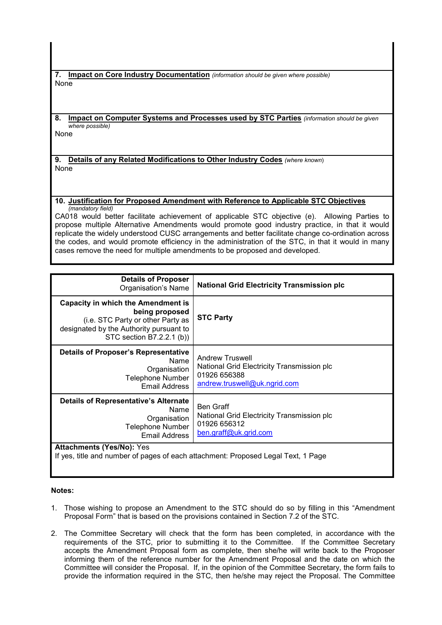**7. Impact on Core Industry Documentation** *(information should be given where possible)* None

**8. Impact on Computer Systems and Processes used by STC Parties** *(information should be given where possible)*

None

**9. Details of any Related Modifications to Other Industry Codes** *(where known*) None

#### **10. Justification for Proposed Amendment with Reference to Applicable STC Objectives** *(mandatory field)*

CA018 would better facilitate achievement of applicable STC objective (e). Allowing Parties to propose multiple Alternative Amendments would promote good industry practice, in that it would replicate the widely understood CUSC arrangements and better facilitate change co-ordination across the codes, and would promote efficiency in the administration of the STC, in that it would in many cases remove the need for multiple amendments to be proposed and developed.

| <b>Details of Proposer</b><br>Organisation's Name                                                                                                                        | <b>National Grid Electricity Transmission plc</b>                                                                    |
|--------------------------------------------------------------------------------------------------------------------------------------------------------------------------|----------------------------------------------------------------------------------------------------------------------|
| <b>Capacity in which the Amendment is</b><br>being proposed<br>(i.e. STC Party or other Party as<br>designated by the Authority pursuant to<br>STC section B7.2.2.1 (b)) | <b>STC Party</b>                                                                                                     |
| <b>Details of Proposer's Representative</b><br>Name<br>Organisation<br><b>Telephone Number</b><br>Email Address                                                          | <b>Andrew Truswell</b><br>National Grid Electricity Transmission plc<br>01926 656388<br>andrew.truswell@uk.ngrid.com |
| <b>Details of Representative's Alternate</b><br>Name<br>Organisation<br><b>Telephone Number</b><br>Email Address                                                         | <b>Ben Graff</b><br>National Grid Electricity Transmission plc<br>01926 656312<br>ben.graff@uk.grid.com              |
| <b>Attachments (Yes/No): Yes</b><br>If yes, title and number of pages of each attachment: Proposed Legal Text, 1 Page                                                    |                                                                                                                      |

### **Notes:**

- 1. Those wishing to propose an Amendment to the STC should do so by filling in this "Amendment Proposal Form" that is based on the provisions contained in Section 7.2 of the STC.
- 2. The Committee Secretary will check that the form has been completed, in accordance with the requirements of the STC, prior to submitting it to the Committee. If the Committee Secretary accepts the Amendment Proposal form as complete, then she/he will write back to the Proposer informing them of the reference number for the Amendment Proposal and the date on which the Committee will consider the Proposal. If, in the opinion of the Committee Secretary, the form fails to provide the information required in the STC, then he/she may reject the Proposal. The Committee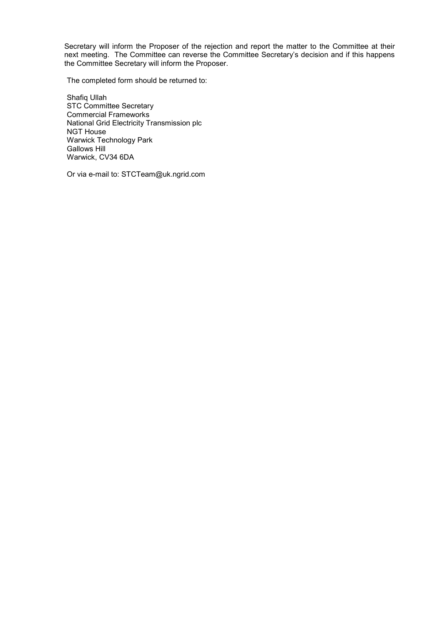Secretary will inform the Proposer of the rejection and report the matter to the Committee at their next meeting. The Committee can reverse the Committee Secretary's decision and if this happens the Committee Secretary will inform the Proposer.

The completed form should be returned to:

Shafiq Ullah STC Committee Secretary Commercial Frameworks National Grid Electricity Transmission plc NGT House Warwick Technology Park Gallows Hill Warwick, CV34 6DA

Or via e-mail to: STCTeam@uk.ngrid.com